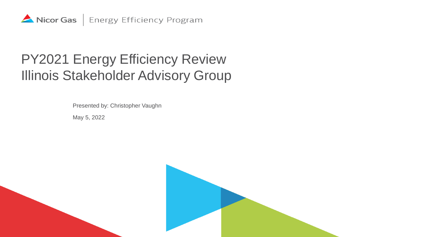

### PY2021 Energy Efficiency Review Illinois Stakeholder Advisory Group

Presented by: Christopher Vaughn

May 5, 2022

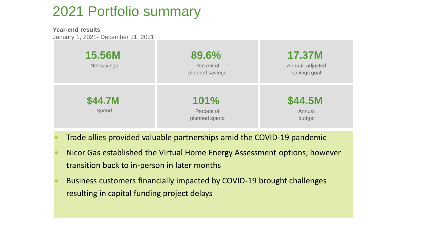### 2021 Portfolio summary

**Year-end results** January 1, 2021- December 31, 2021

|                  | 89.6%                               | <b>17.37M</b>               |
|------------------|-------------------------------------|-----------------------------|
| <b>15.56M</b>    | Percent of                          | Annual adjusted             |
| Net savings      | planned savings                     | savings goal                |
| \$44.7M<br>Spend | 101%<br>Percent of<br>planned spend | \$44.5M<br>Annual<br>budget |

- Trade allies provided valuable partnerships amid the COVID-19 pandemic
- Nicor Gas established the Virtual Home Energy Assessment options; however transition back to in-person in later months
- Business customers financially impacted by COVID-19 brought challenges resulting in capital funding project delays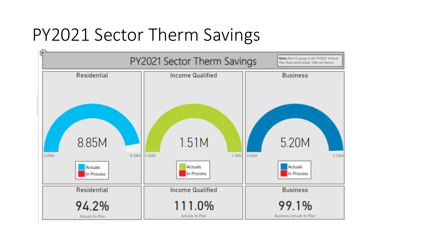# PY2021 Sector Therm Savings

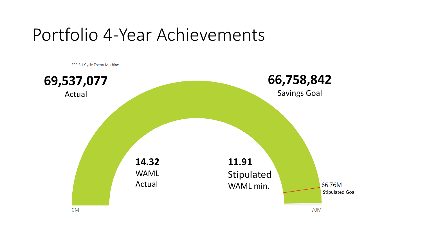# Portfolio 4-Year Achievements

EEP 3.1 Cycle Therm Machine -

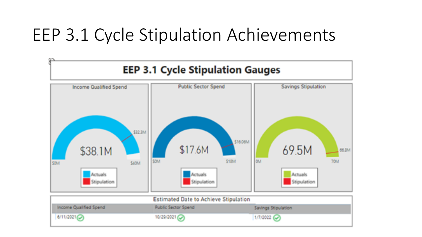# EEP 3.1 Cycle Stipulation Achievements

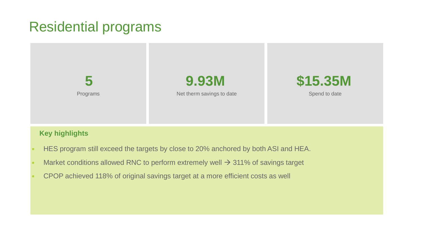### Residential programs



#### **Key highlights**

- HES program still exceed the targets by close to 20% anchored by both ASI and HEA.
- Market conditions allowed RNC to perform extremely well  $\rightarrow$  311% of savings target
- CPOP achieved 118% of original savings target at a more efficient costs as well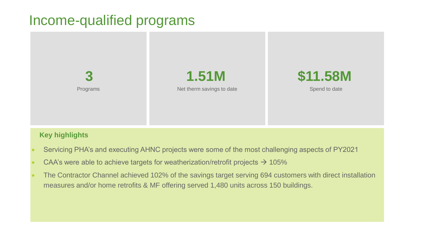### Income-qualified programs



#### **Key highlights**

- Servicing PHA's and executing AHNC projects were some of the most challenging aspects of PY2021
- CAA's were able to achieve targets for weatherization/retrofit projects  $\rightarrow$  105%
- The Contractor Channel achieved 102% of the savings target serving 694 customers with direct installation measures and/or home retrofits & MF offering served 1,480 units across 150 buildings.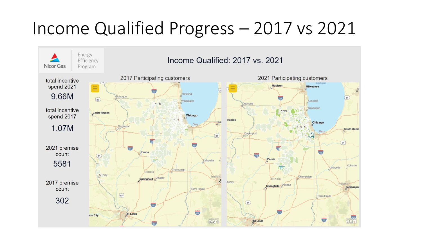# Income Qualified Progress – 2017 vs 2021

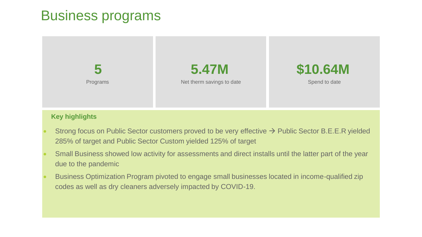### Business programs



#### **Key highlights**

- Strong focus on Public Sector customers proved to be very effective → Public Sector B.E.E.R yielded 285% of target and Public Sector Custom yielded 125% of target
- Small Business showed low activity for assessments and direct installs until the latter part of the year due to the pandemic
- Business Optimization Program pivoted to engage small businesses located in income-qualified zip codes as well as dry cleaners adversely impacted by COVID-19.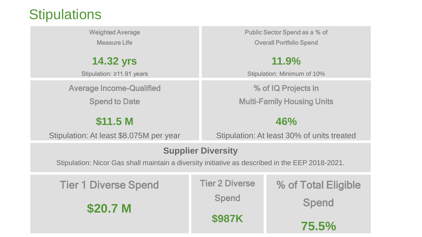### **Stipulations**

Weighted Average Measure Life

**14.32 yrs**

Stipulation: ≥11.91 years

Average Income-Qualified

Spend to Date

**\$11.5 M**

Stipulation: At least \$8.075M per year

Public Sector Spend as a % of Overall Portfolio Spend

**11.9%**

Stipulation: Minimum of 10%

% of IQ Projects in Multi-Family Housing Units

**46%**

Stipulation: At least 30% of units treated

#### **Supplier Diversity**

Stipulation: Nicor Gas shall maintain a diversity initiative as described in the EEP 2018-2021.

| <b>Tier 1 Diverse Spend</b> | <b>Tier 2 Diverse</b> | % of Total Eligible |
|-----------------------------|-----------------------|---------------------|
| \$20.7 M                    | <b>Spend</b>          | <b>Spend</b>        |
|                             | \$987K                | 75.5%               |